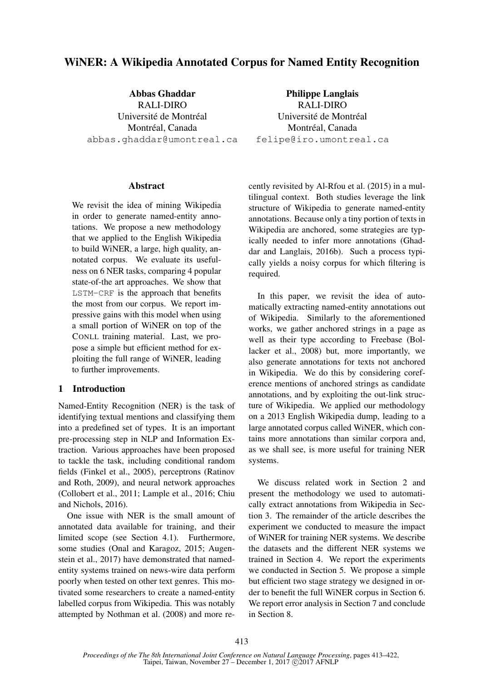# WiNER: A Wikipedia Annotated Corpus for Named Entity Recognition

Abbas Ghaddar RALI-DIRO Université de Montréal Montréal, Canada abbas.ghaddar@umontreal.ca

Philippe Langlais RALI-DIRO Université de Montréal Montréal, Canada felipe@iro.umontreal.ca

### Abstract

We revisit the idea of mining Wikipedia in order to generate named-entity annotations. We propose a new methodology that we applied to the English Wikipedia to build WiNER, a large, high quality, annotated corpus. We evaluate its usefulness on 6 NER tasks, comparing 4 popular state-of-the art approaches. We show that LSTM-CRF is the approach that benefits the most from our corpus. We report impressive gains with this model when using a small portion of WiNER on top of the CONLL training material. Last, we propose a simple but efficient method for exploiting the full range of WiNER, leading to further improvements.

# 1 Introduction

Named-Entity Recognition (NER) is the task of identifying textual mentions and classifying them into a predefined set of types. It is an important pre-processing step in NLP and Information Extraction. Various approaches have been proposed to tackle the task, including conditional random fields (Finkel et al., 2005), perceptrons (Ratinov and Roth, 2009), and neural network approaches (Collobert et al., 2011; Lample et al., 2016; Chiu and Nichols, 2016).

One issue with NER is the small amount of annotated data available for training, and their limited scope (see Section 4.1). Furthermore, some studies (Onal and Karagoz, 2015; Augenstein et al., 2017) have demonstrated that namedentity systems trained on news-wire data perform poorly when tested on other text genres. This motivated some researchers to create a named-entity labelled corpus from Wikipedia. This was notably attempted by Nothman et al. (2008) and more re-

cently revisited by Al-Rfou et al. (2015) in a multilingual context. Both studies leverage the link structure of Wikipedia to generate named-entity annotations. Because only a tiny portion of texts in Wikipedia are anchored, some strategies are typically needed to infer more annotations (Ghaddar and Langlais, 2016b). Such a process typically yields a noisy corpus for which filtering is required.

In this paper, we revisit the idea of automatically extracting named-entity annotations out of Wikipedia. Similarly to the aforementioned works, we gather anchored strings in a page as well as their type according to Freebase (Bollacker et al., 2008) but, more importantly, we also generate annotations for texts not anchored in Wikipedia. We do this by considering coreference mentions of anchored strings as candidate annotations, and by exploiting the out-link structure of Wikipedia. We applied our methodology on a 2013 English Wikipedia dump, leading to a large annotated corpus called WiNER, which contains more annotations than similar corpora and, as we shall see, is more useful for training NER systems.

We discuss related work in Section 2 and present the methodology we used to automatically extract annotations from Wikipedia in Section 3. The remainder of the article describes the experiment we conducted to measure the impact of WiNER for training NER systems. We describe the datasets and the different NER systems we trained in Section 4. We report the experiments we conducted in Section 5. We propose a simple but efficient two stage strategy we designed in order to benefit the full WiNER corpus in Section 6. We report error analysis in Section 7 and conclude in Section 8.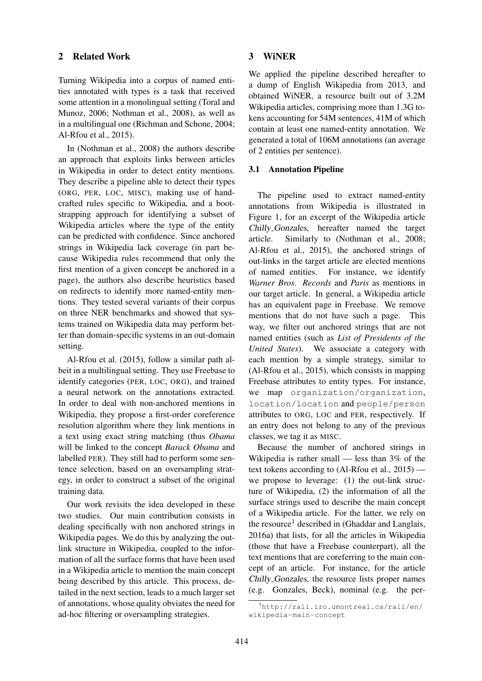# 2 Related Work

Turning Wikipedia into a corpus of named entities annotated with types is a task that received some attention in a monolingual setting (Toral and Munoz, 2006; Nothman et al., 2008), as well as in a multilingual one (Richman and Schone, 2004; Al-Rfou et al., 2015).

In (Nothman et al., 2008) the authors describe an approach that exploits links between articles in Wikipedia in order to detect entity mentions. They describe a pipeline able to detect their types (ORG, PER, LOC, MISC), making use of handcrafted rules specific to Wikipedia, and a bootstrapping approach for identifying a subset of Wikipedia articles where the type of the entity can be predicted with confidence. Since anchored strings in Wikipedia lack coverage (in part because Wikipedia rules recommend that only the first mention of a given concept be anchored in a page), the authors also describe heuristics based on redirects to identify more named-entity mentions. They tested several variants of their corpus on three NER benchmarks and showed that systems trained on Wikipedia data may perform better than domain-specific systems in an out-domain setting.

Al-Rfou et al. (2015), follow a similar path albeit in a multilingual setting. They use Freebase to identify categories (PER, LOC, ORG), and trained a neural network on the annotations extracted. In order to deal with non-anchored mentions in Wikipedia, they propose a first-order coreference resolution algorithm where they link mentions in a text using exact string matching (thus *Obama* will be linked to the concept *Barack Obama* and labelled PER). They still had to perform some sentence selection, based on an oversampling strategy, in order to construct a subset of the original training data.

Our work revisits the idea developed in these two studies. Our main contribution consists in dealing specifically with non anchored strings in Wikipedia pages. We do this by analyzing the outlink structure in Wikipedia, coupled to the information of all the surface forms that have been used in a Wikipedia article to mention the main concept being described by this article. This process, detailed in the next section, leads to a much larger set of annotations, whose quality obviates the need for ad-hoc filtering or oversampling strategies.

# 3 WiNER

We applied the pipeline described hereafter to a dump of English Wikipedia from 2013, and obtained WiNER, a resource built out of 3.2M Wikipedia articles, comprising more than 1.3G tokens accounting for 54M sentences, 41M of which contain at least one named-entity annotation. We generated a total of 106M annotations (an average of 2 entities per sentence).

# 3.1 Annotation Pipeline

The pipeline used to extract named-entity annotations from Wikipedia is illustrated in Figure 1, for an excerpt of the Wikipedia article Chilly Gonzales, hereafter named the target article. Similarly to (Nothman et al., 2008; Al-Rfou et al., 2015), the anchored strings of out-links in the target article are elected mentions of named entities. For instance, we identify *Warner Bros. Records* and *Paris* as mentions in our target article. In general, a Wikipedia article has an equivalent page in Freebase. We remove mentions that do not have such a page. This way, we filter out anchored strings that are not named entities (such as *List of Presidents of the United States*). We associate a category with each mention by a simple strategy, similar to (Al-Rfou et al., 2015), which consists in mapping Freebase attributes to entity types. For instance, we map organization/organization, location/location and people/person attributes to ORG, LOC and PER, respectively. If an entry does not belong to any of the previous classes, we tag it as MISC.

Because the number of anchored strings in Wikipedia is rather small — less than 3% of the text tokens according to (Al-Rfou et al., 2015) we propose to leverage: (1) the out-link structure of Wikipedia, (2) the information of all the surface strings used to describe the main concept of a Wikipedia article. For the latter, we rely on the resource<sup>1</sup> described in (Ghaddar and Langlais, 2016a) that lists, for all the articles in Wikipedia (those that have a Freebase counterpart), all the text mentions that are coreferring to the main concept of an article. For instance, for the article Chilly Gonzales, the resource lists proper names (e.g. Gonzales, Beck), nominal (e.g. the per-

<sup>1</sup>http://rali.iro.umontreal.ca/rali/en/ wikipedia-main-concept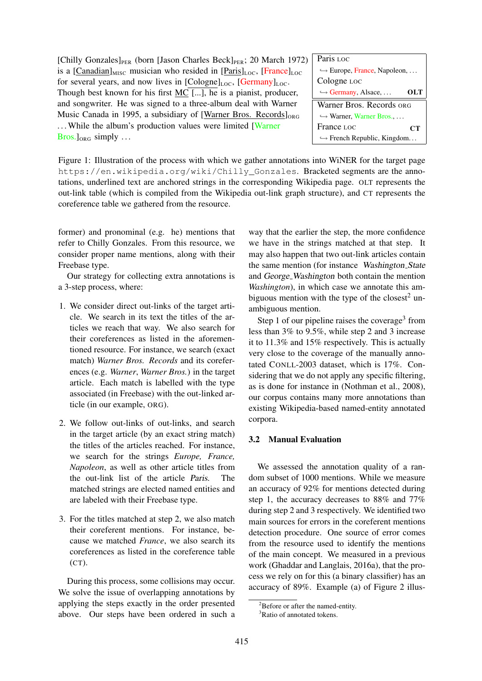[Chilly Gonzales] $_{PER}$  (born [Jason Charles Beck] $_{PER}$ ; 20 March 1972) is a  $[Canadian]_{MISC}$  musician who resided in  $[Paris]_{LOC}$ ,  $[France]_{LOC}$ for several years, and now lives in  $[Cologne]_{LOC}$ ,  $[Germany]_{LOC}$ . Though best known for his first MC [...], he is a pianist, producer, and songwriter. He was signed to a three-album deal with Warner Music Canada in 1995, a subsidiary of [Warner Bros. Records] $_{ORG}$ ... While the album's production values were limited [Warner]  $Bros.$   $]_{ORG}$  simply ...

Paris Loc ,→ Europe, France, Napoleon, . . . Cologne LOC  $\hookrightarrow$  Germany, Alsace, ... Warner Bros. Records ORG ,→ Warner, Warner Bros., . . . France LOC  $\hookrightarrow$  French Republic, Kingdom... OLT **CT** 

Figure 1: Illustration of the process with which we gather annotations into WiNER for the target page https://en.wikipedia.org/wiki/Chilly\_Gonzales. Bracketed segments are the annotations, underlined text are anchored strings in the corresponding Wikipedia page. OLT represents the out-link table (which is compiled from the Wikipedia out-link graph structure), and CT represents the coreference table we gathered from the resource.

former) and pronominal (e.g. he) mentions that refer to Chilly Gonzales. From this resource, we consider proper name mentions, along with their Freebase type.

Our strategy for collecting extra annotations is a 3-step process, where:

- 1. We consider direct out-links of the target article. We search in its text the titles of the articles we reach that way. We also search for their coreferences as listed in the aforementioned resource. For instance, we search (exact match) *Warner Bros. Records* and its coreferences (e.g. *Warner*, *Warner Bros.*) in the target article. Each match is labelled with the type associated (in Freebase) with the out-linked article (in our example, ORG).
- 2. We follow out-links of out-links, and search in the target article (by an exact string match) the titles of the articles reached. For instance, we search for the strings *Europe, France, Napoleon*, as well as other article titles from the out-link list of the article Paris. The matched strings are elected named entities and are labeled with their Freebase type.
- 3. For the titles matched at step 2, we also match their coreferent mentions. For instance, because we matched *France*, we also search its coreferences as listed in the coreference table (CT).

During this process, some collisions may occur. We solve the issue of overlapping annotations by applying the steps exactly in the order presented above. Our steps have been ordered in such a

way that the earlier the step, the more confidence we have in the strings matched at that step. It may also happen that two out-link articles contain the same mention (for instance Washington State and George Washington both contain the mention *Washington*), in which case we annotate this ambiguous mention with the type of the closest<sup>2</sup> unambiguous mention.

Step 1 of our pipeline raises the coverage<sup>3</sup> from less than 3% to 9.5%, while step 2 and 3 increase it to 11.3% and 15% respectively. This is actually very close to the coverage of the manually annotated CONLL-2003 dataset, which is 17%. Considering that we do not apply any specific filtering, as is done for instance in (Nothman et al., 2008), our corpus contains many more annotations than existing Wikipedia-based named-entity annotated corpora.

# 3.2 Manual Evaluation

We assessed the annotation quality of a random subset of 1000 mentions. While we measure an accuracy of 92% for mentions detected during step 1, the accuracy decreases to 88% and 77% during step 2 and 3 respectively. We identified two main sources for errors in the coreferent mentions detection procedure. One source of error comes from the resource used to identify the mentions of the main concept. We measured in a previous work (Ghaddar and Langlais, 2016a), that the process we rely on for this (a binary classifier) has an accuracy of 89%. Example (a) of Figure 2 illus-

 ${}^{2}$ Before or after the named-entity.

<sup>&</sup>lt;sup>3</sup>Ratio of annotated tokens.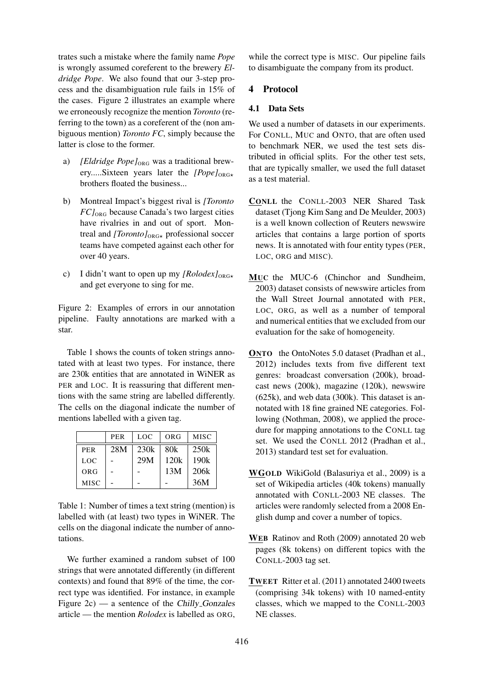trates such a mistake where the family name *Pope* is wrongly assumed coreferent to the brewery *Eldridge Pope*. We also found that our 3-step process and the disambiguation rule fails in 15% of the cases. Figure 2 illustrates an example where we erroneously recognize the mention *Toronto* (referring to the town) as a coreferent of the (non ambiguous mention) *Toronto FC*, simply because the latter is close to the former.

- a) *[Eldridge Pope]*<sub>ORG</sub> was a traditional brewery.....Sixteen years later the  $[Pope]_{ORG\star}$ brothers floated the business...
- b) Montreal Impact's biggest rival is *[Toronto FC]*ORG because Canada's two largest cities have rivalries in and out of sport. Montreal and *[Toronto]*<sub>ORG\*</sub> professional soccer teams have competed against each other for over 40 years.
- c) I didn't want to open up my  $[Robedex]_{ORG\star}$ and get everyone to sing for me.

Figure 2: Examples of errors in our annotation pipeline. Faulty annotations are marked with a star.

Table 1 shows the counts of token strings annotated with at least two types. For instance, there are 230k entities that are annotated in WiNER as PER and LOC. It is reassuring that different mentions with the same string are labelled differently. The cells on the diagonal indicate the number of mentions labelled with a given tag.

|             | <b>PER</b> | LOC  | ORG  | <b>MISC</b> |
|-------------|------------|------|------|-------------|
| <b>PER</b>  | 28M        | 230k | 80k  | 250k        |
| <b>LOC</b>  |            | 29M  | 120k | 190k        |
| ORG         |            |      | 13M  | 206k        |
| <b>MISC</b> |            |      |      | 36M         |

Table 1: Number of times a text string (mention) is labelled with (at least) two types in WiNER. The cells on the diagonal indicate the number of annotations.

We further examined a random subset of 100 strings that were annotated differently (in different contexts) and found that 89% of the time, the correct type was identified. For instance, in example Figure 2c) — a sentence of the Chilly Gonzales article — the mention *Rolodex* is labelled as ORG,

while the correct type is MISC. Our pipeline fails to disambiguate the company from its product.

# 4 Protocol

### 4.1 Data Sets

We used a number of datasets in our experiments. For CONLL, MUC and ONTO, that are often used to benchmark NER, we used the test sets distributed in official splits. For the other test sets, that are typically smaller, we used the full dataset as a test material.

- CONLL the CONLL-2003 NER Shared Task dataset (Tjong Kim Sang and De Meulder, 2003) is a well known collection of Reuters newswire articles that contains a large portion of sports news. It is annotated with four entity types (PER, LOC, ORG and MISC).
- MUC the MUC-6 (Chinchor and Sundheim, 2003) dataset consists of newswire articles from the Wall Street Journal annotated with PER, LOC, ORG, as well as a number of temporal and numerical entities that we excluded from our evaluation for the sake of homogeneity.
- ONTO the OntoNotes 5.0 dataset (Pradhan et al., 2012) includes texts from five different text genres: broadcast conversation (200k), broadcast news (200k), magazine (120k), newswire (625k), and web data (300k). This dataset is annotated with 18 fine grained NE categories. Following (Nothman, 2008), we applied the procedure for mapping annotations to the CONLL tag set. We used the CONLL 2012 (Pradhan et al., 2013) standard test set for evaluation.
- WGOLD WikiGold (Balasuriya et al., 2009) is a set of Wikipedia articles (40k tokens) manually annotated with CONLL-2003 NE classes. The articles were randomly selected from a 2008 English dump and cover a number of topics.
- WEB Ratinov and Roth (2009) annotated 20 web pages (8k tokens) on different topics with the CONLL-2003 tag set.
- TWEET Ritter et al. (2011) annotated 2400 tweets (comprising 34k tokens) with 10 named-entity classes, which we mapped to the CONLL-2003 NE classes.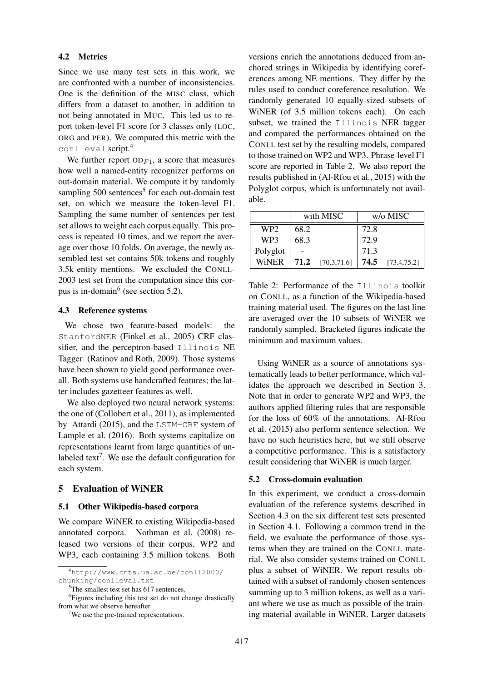#### 4.2 Metrics

Since we use many test sets in this work, we are confronted with a number of inconsistencies. One is the definition of the MISC class, which differs from a dataset to another, in addition to not being annotated in MUC. This led us to report token-level F1 score for 3 classes only (LOC, ORG and PER). We computed this metric with the conlleval script.<sup>4</sup>

We further report  $OD_{F1}$ , a score that measures how well a named-entity recognizer performs on out-domain material. We compute it by randomly sampling 500 sentences<sup>5</sup> for each out-domain test set, on which we measure the token-level F1. Sampling the same number of sentences per test set allows to weight each corpus equally. This process is repeated 10 times, and we report the average over those 10 folds. On average, the newly assembled test set contains 50k tokens and roughly 3.5k entity mentions. We excluded the CONLL-2003 test set from the computation since this corpus is in-domain<sup>6</sup> (see section 5.2).

#### 4.3 Reference systems

We chose two feature-based models: the StanfordNER (Finkel et al., 2005) CRF classifier, and the perceptron-based Illinois NE Tagger (Ratinov and Roth, 2009). Those systems have been shown to yield good performance overall. Both systems use handcrafted features; the latter includes gazetteer features as well.

We also deployed two neural network systems: the one of (Collobert et al., 2011), as implemented by Attardi (2015), and the LSTM-CRF system of Lample et al. (2016). Both systems capitalize on representations learnt from large quantities of unlabeled text<sup>7</sup>. We use the default configuration for each system.

# 5 Evaluation of WiNER

#### 5.1 Other Wikipedia-based corpora

We compare WiNER to existing Wikipedia-based annotated corpora. Nothman et al. (2008) released two versions of their corpus, WP2 and WP3, each containing 3.5 million tokens. Both

versions enrich the annotations deduced from anchored strings in Wikipedia by identifying coreferences among NE mentions. They differ by the rules used to conduct coreference resolution. We randomly generated 10 equally-sized subsets of WiNER (of 3.5 million tokens each). On each subset, we trained the Illinois NER tagger and compared the performances obtained on the CONLL test set by the resulting models, compared to those trained on WP2 and WP3. Phrase-level F1 score are reported in Table 2. We also report the results published in (Al-Rfou et al., 2015) with the Polyglot corpus, which is unfortunately not available.

|                 |      | with MISC          |      | w/o MISC     |
|-----------------|------|--------------------|------|--------------|
| WP <sub>2</sub> | 68.2 |                    | 72.8 |              |
| WP3             | 68.3 |                    | 72.9 |              |
| Polyglot        |      |                    | 71.3 |              |
| <b>WiNER</b>    |      | $71.2$ [70.3,71.6] | 74.5 | [73.4, 75.2] |

Table 2: Performance of the Illinois toolkit on CONLL, as a function of the Wikipedia-based training material used. The figures on the last line are averaged over the 10 subsets of WiNER we randomly sampled. Bracketed figures indicate the minimum and maximum values.

Using WiNER as a source of annotations systematically leads to better performance, which validates the approach we described in Section 3. Note that in order to generate WP2 and WP3, the authors applied filtering rules that are responsible for the loss of 60% of the annotations. Al-Rfou et al. (2015) also perform sentence selection. We have no such heuristics here, but we still observe a competitive performance. This is a satisfactory result considering that WiNER is much larger.

#### 5.2 Cross-domain evaluation

In this experiment, we conduct a cross-domain evaluation of the reference systems described in Section 4.3 on the six different test sets presented in Section 4.1. Following a common trend in the field, we evaluate the performance of those systems when they are trained on the CONLL material. We also consider systems trained on CONLL plus a subset of WiNER. We report results obtained with a subset of randomly chosen sentences summing up to 3 million tokens, as well as a variant where we use as much as possible of the training material available in WiNER. Larger datasets

<sup>4</sup>http://www.cnts.ua.ac.be/conll2000/ chunking/conlleval.txt

<sup>&</sup>lt;sup>5</sup>The smallest test set has 617 sentences.

<sup>&</sup>lt;sup>6</sup>Figures including this test set do not change drastically from what we observe hereafter.

<sup>7</sup>We use the pre-trained representations.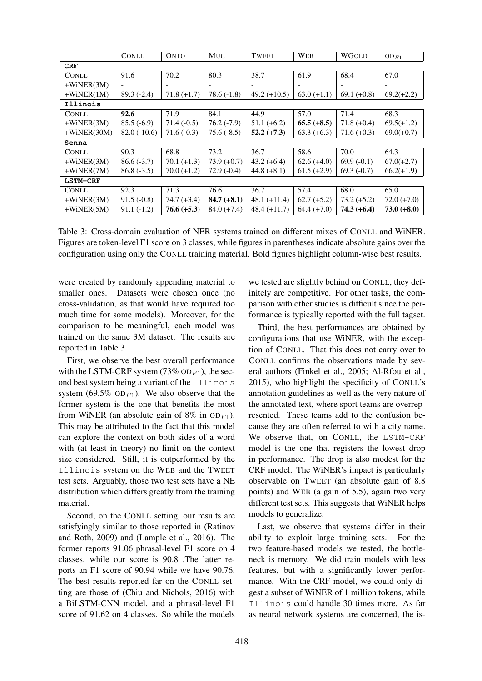|                 | <b>CONLL</b>  | <b>ONTO</b>   | MUC           | <b>TWEET</b>   | WEB           | <b>WGOLD</b>  | $OD_{F1}$     |
|-----------------|---------------|---------------|---------------|----------------|---------------|---------------|---------------|
| <b>CRF</b>      |               |               |               |                |               |               |               |
| <b>CONLL</b>    | 91.6          | 70.2          | 80.3          | 38.7           | 61.9          | 68.4          | 67.0          |
| $+WiNER(3M)$    |               |               |               |                |               |               |               |
| $+WiNER(1M)$    | $89.3(-2.4)$  | $71.8 (+1.7)$ | $78.6(-1.8)$  | $49.2 (+10.5)$ | $63.0 (+1.1)$ | $69.1 (+0.8)$ | $69.2(+2.2)$  |
| Illinois        |               |               |               |                |               |               |               |
| <b>CONLL</b>    | 92.6          | 71.9          | 84.1          | 44.9           | 57.0          | 71.4          | 68.3          |
| $+WiNER(3M)$    | $85.5(-6.9)$  | $71.4(-0.5)$  | $76.2(-7.9)$  | $51.1 (+6.2)$  | $65.5 (+8.5)$ | $71.8 (+0.4)$ | $69.5(+1.2)$  |
| $+WiNER(30M)$   | $82.0(-10.6)$ | $71.6(-0.3)$  | $75.6(-8.5)$  | $52.2 (+7.3)$  | $63.3 (+6.3)$ | $71.6 (+0.3)$ | $69.0(+0.7)$  |
| Senna           |               |               |               |                |               |               |               |
| <b>CONLL</b>    | 90.3          | 68.8          | 73.2          | 36.7           | 58.6          | 70.0          | 64.3          |
| $+WiNER(3M)$    | $86.6(-3.7)$  | $70.1 (+1.3)$ | $73.9 (+0.7)$ | $43.2 (+6.4)$  | $62.6 (+4.0)$ | $69.9(-0.1)$  | $67.0(+2.7)$  |
| $+WiNER(7M)$    | $86.8(-3.5)$  | $70.0 (+1.2)$ | $72.9(-0.4)$  | $44.8 (+8.1)$  | $61.5 (+2.9)$ | 69.3 $(-0.7)$ | $66.2(+1.9)$  |
| <b>LSTM-CRF</b> |               |               |               |                |               |               |               |
| <b>CONLL</b>    | 92.3          | 71.3          | 76.6          | 36.7           | 57.4          | 68.0          | 65.0          |
| $+WiNER(3M)$    | $91.5(-0.8)$  | $74.7 (+3.4)$ | $84.7 (+8.1)$ | $48.1 (+11.4)$ | $62.7 (+5.2)$ | $73.2 (+5.2)$ | $72.0 (+7.0)$ |
| $+WiNER(5M)$    | $91.1(-1.2)$  | $76.6 (+5.3)$ | $84.0 (+7.4)$ | $48.4 (+11.7)$ | $64.4 (+7.0)$ | $74.3 (+6.4)$ | $73.0 (+8.0)$ |

Table 3: Cross-domain evaluation of NER systems trained on different mixes of CONLL and WiNER. Figures are token-level F1 score on 3 classes, while figures in parentheses indicate absolute gains over the configuration using only the CONLL training material. Bold figures highlight column-wise best results.

were created by randomly appending material to smaller ones. Datasets were chosen once (no cross-validation, as that would have required too much time for some models). Moreover, for the comparison to be meaningful, each model was trained on the same 3M dataset. The results are reported in Table 3.

First, we observe the best overall performance with the LSTM-CRF system (73%  $OD_{F1}$ ), the second best system being a variant of the Illinois system (69.5%  $OD_{F1}$ ). We also observe that the former system is the one that benefits the most from WiNER (an absolute gain of  $8\%$  in  $OD_{F1}$ ). This may be attributed to the fact that this model can explore the context on both sides of a word with (at least in theory) no limit on the context size considered. Still, it is outperformed by the Illinois system on the WEB and the TWEET test sets. Arguably, those two test sets have a NE distribution which differs greatly from the training material.

Second, on the CONLL setting, our results are satisfyingly similar to those reported in (Ratinov and Roth, 2009) and (Lample et al., 2016). The former reports 91.06 phrasal-level F1 score on 4 classes, while our score is 90.8 .The latter reports an F1 score of 90.94 while we have 90.76. The best results reported far on the CONLL setting are those of (Chiu and Nichols, 2016) with a BiLSTM-CNN model, and a phrasal-level F1 score of 91.62 on 4 classes. So while the models we tested are slightly behind on CONLL, they definitely are competitive. For other tasks, the comparison with other studies is difficult since the performance is typically reported with the full tagset.

Third, the best performances are obtained by configurations that use WiNER, with the exception of CONLL. That this does not carry over to CONLL confirms the observations made by several authors (Finkel et al., 2005; Al-Rfou et al., 2015), who highlight the specificity of CONLL's annotation guidelines as well as the very nature of the annotated text, where sport teams are overrepresented. These teams add to the confusion because they are often referred to with a city name. We observe that, on CONLL, the LSTM-CRF model is the one that registers the lowest drop in performance. The drop is also modest for the CRF model. The WiNER's impact is particularly observable on TWEET (an absolute gain of 8.8 points) and WEB (a gain of 5.5), again two very different test sets. This suggests that WiNER helps models to generalize.

Last, we observe that systems differ in their ability to exploit large training sets. For the two feature-based models we tested, the bottleneck is memory. We did train models with less features, but with a significantly lower performance. With the CRF model, we could only digest a subset of WiNER of 1 million tokens, while Illinois could handle 30 times more. As far as neural network systems are concerned, the is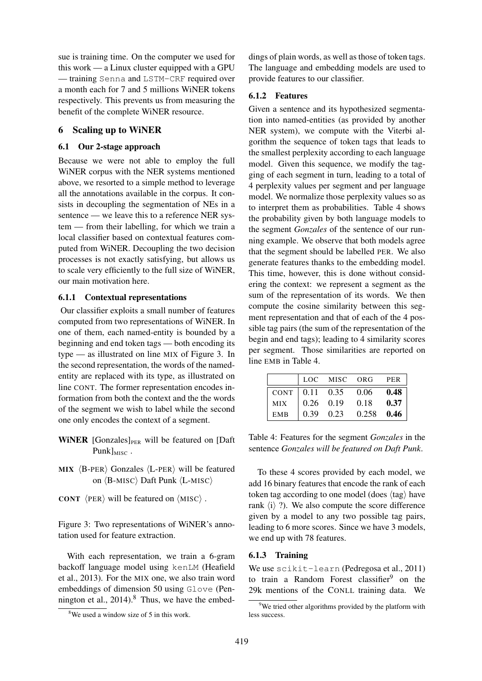sue is training time. On the computer we used for this work — a Linux cluster equipped with a GPU — training Senna and LSTM-CRF required over a month each for 7 and 5 millions WiNER tokens respectively. This prevents us from measuring the benefit of the complete WiNER resource.

# 6 Scaling up to WiNER

# 6.1 Our 2-stage approach

Because we were not able to employ the full WiNER corpus with the NER systems mentioned above, we resorted to a simple method to leverage all the annotations available in the corpus. It consists in decoupling the segmentation of NEs in a sentence — we leave this to a reference NER system — from their labelling, for which we train a local classifier based on contextual features computed from WiNER. Decoupling the two decision processes is not exactly satisfying, but allows us to scale very efficiently to the full size of WiNER, our main motivation here.

# 6.1.1 Contextual representations

Our classifier exploits a small number of features computed from two representations of WiNER. In one of them, each named-entity is bounded by a beginning and end token tags — both encoding its type — as illustrated on line MIX of Figure 3. In the second representation, the words of the namedentity are replaced with its type, as illustrated on line CONT. The former representation encodes information from both the context and the the words of the segment we wish to label while the second one only encodes the context of a segment.

- WINER  $[Gonzales]_{PER}$  will be featured on  $[Daff]$ Punk $\vert_{MISC}$ .
- MIX  $\langle$ B-PER $\rangle$  Gonzales  $\langle$ L-PER $\rangle$  will be featured on  $\langle$ B-MISC $\rangle$  Daft Punk  $\langle$ L-MISC $\rangle$
- CONT  $\langle$ PER $\rangle$  will be featured on  $\langle$ MISC $\rangle$ .

Figure 3: Two representations of WiNER's annotation used for feature extraction.

With each representation, we train a 6-gram backoff language model using kenLM (Heafield et al., 2013). For the MIX one, we also train word embeddings of dimension 50 using Glove (Pennington et al.,  $2014$ .<sup>8</sup> Thus, we have the embed-

dings of plain words, as well as those of token tags. The language and embedding models are used to provide features to our classifier.

# 6.1.2 Features

Given a sentence and its hypothesized segmentation into named-entities (as provided by another NER system), we compute with the Viterbi algorithm the sequence of token tags that leads to the smallest perplexity according to each language model. Given this sequence, we modify the tagging of each segment in turn, leading to a total of 4 perplexity values per segment and per language model. We normalize those perplexity values so as to interpret them as probabilities. Table 4 shows the probability given by both language models to the segment *Gonzales* of the sentence of our running example. We observe that both models agree that the segment should be labelled PER. We also generate features thanks to the embedding model. This time, however, this is done without considering the context: we represent a segment as the sum of the representation of its words. We then compute the cosine similarity between this segment representation and that of each of the 4 possible tag pairs (the sum of the representation of the begin and end tags); leading to 4 similarity scores per segment. Those similarities are reported on line EMB in Table 4.

|            |      | LOC MISC ORG                |              | PER  |
|------------|------|-----------------------------|--------------|------|
|            |      | CONT $\vert$ 0.11 0.35 0.06 |              | 0.48 |
| <b>MIX</b> |      | $0.26 \quad 0.19$           | 0.18         | 0.37 |
| <b>EMB</b> | 0.39 | 0.23                        | $0.258$ 0.46 |      |

Table 4: Features for the segment *Gonzales* in the sentence *Gonzales will be featured on Daft Punk*.

To these 4 scores provided by each model, we add 16 binary features that encode the rank of each token tag according to one model (does  $\langle$ tag $\rangle$  have rank  $\langle i \rangle$  ?). We also compute the score difference given by a model to any two possible tag pairs, leading to 6 more scores. Since we have 3 models, we end up with 78 features.

# 6.1.3 Training

We use scikit-learn (Pedregosa et al., 2011) to train a Random Forest classifier<sup>9</sup> on the 29k mentions of the CONLL training data. We

 $8$ We used a window size of 5 in this work.

 $9^9$ We tried other algorithms provided by the platform with less success.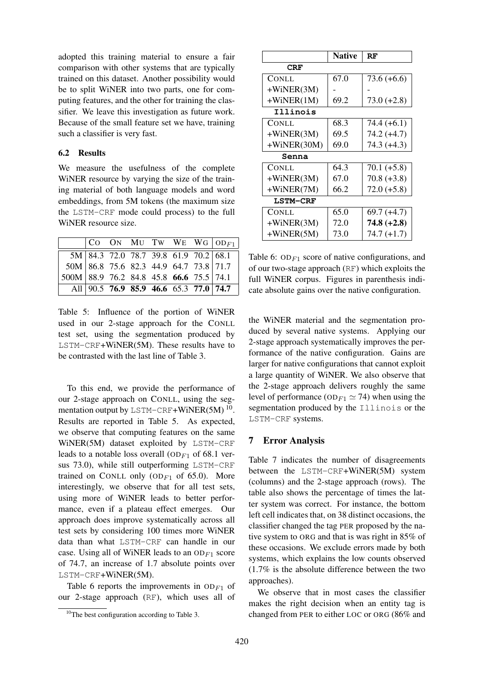adopted this training material to ensure a fair comparison with other systems that are typically trained on this dataset. Another possibility would be to split WiNER into two parts, one for computing features, and the other for training the classifier. We leave this investigation as future work. Because of the small feature set we have, training such a classifier is very fast.

### 6.2 Results

We measure the usefulness of the complete WiNER resource by varying the size of the training material of both language models and word embeddings, from 5M tokens (the maximum size the LSTM-CRF mode could process) to the full WiNER resource size.

|                                                                                   |  |  |                                                    | $ $ CO ON MU TW WE WG $ $ OD <sub>F1</sub> $ $ |
|-----------------------------------------------------------------------------------|--|--|----------------------------------------------------|------------------------------------------------|
|                                                                                   |  |  | $\overline{5M}$ 84.3 72.0 78.7 39.8 61.9 70.2 68.1 |                                                |
|                                                                                   |  |  |                                                    |                                                |
| 50M 86.8 75.6 82.3 44.9 64.7 73.8 71.7<br>500M 88.9 76.2 84.8 45.8 66.6 75.5 74.1 |  |  |                                                    |                                                |
|                                                                                   |  |  | All 90.5 76.9 85.9 46.6 65.3 77.0 74.7             |                                                |

Table 5: Influence of the portion of WiNER used in our 2-stage approach for the CONLL test set, using the segmentation produced by LSTM-CRF+WiNER(5M). These results have to be contrasted with the last line of Table 3.

To this end, we provide the performance of our 2-stage approach on CONLL, using the segmentation output by LSTM-CRF+WiNER(5M)  $^{10}$ . Results are reported in Table 5. As expected, we observe that computing features on the same WiNER(5M) dataset exploited by LSTM-CRF leads to a notable loss overall (OD<sub>F1</sub> of 68.1 versus 73.0), while still outperforming LSTM-CRF trained on CONLL only (OD<sub>F1</sub> of 65.0). More interestingly, we observe that for all test sets, using more of WiNER leads to better performance, even if a plateau effect emerges. Our approach does improve systematically across all test sets by considering 100 times more WiNER data than what LSTM-CRF can handle in our case. Using all of WiNER leads to an  $OD_{F1}$  score of 74.7, an increase of 1.7 absolute points over LSTM-CRF+WiNER(5M).

Table 6 reports the improvements in  $OD_{F1}$  of our 2-stage approach (RF), which uses all of

|                 | <b>Native</b> | RF            |
|-----------------|---------------|---------------|
| <b>CRF</b>      |               |               |
| CONLL           | 67.0          | $73.6 (+6.6)$ |
| $+WiNER(3M)$    |               |               |
| $+WiNER(1M)$    | 69.2          | $73.0 (+2.8)$ |
| Illinois        |               |               |
| CONLL           | 68.3          | $74.4 (+6.1)$ |
| $+WiNER(3M)$    | 69.5          | $74.2 (+4.7)$ |
| $+WiNER(30M)$   | 69.0          | $74.3 (+4.3)$ |
| Senna           |               |               |
| CONLL           | 64.3          | $70.1 (+5.8)$ |
| $+WiNER(3M)$    | 67.0          | $70.8 (+3.8)$ |
| $+WiNER(7M)$    | 66.2          | $72.0 (+5.8)$ |
| <b>LSTM-CRF</b> |               |               |
| <b>CONLL</b>    | 65.0          | 69.7 (+4.7)   |
| $+WiNER(3M)$    | 72.0          | $74.8 (+2.8)$ |
| $+WiNER(5M)$    | 73.0          | $74.7 (+1.7)$ |

Table 6:  $OD_{F1}$  score of native configurations, and of our two-stage approach (RF) which exploits the full WiNER corpus. Figures in parenthesis indicate absolute gains over the native configuration.

the WiNER material and the segmentation produced by several native systems. Applying our 2-stage approach systematically improves the performance of the native configuration. Gains are larger for native configurations that cannot exploit a large quantity of WiNER. We also observe that the 2-stage approach delivers roughly the same level of performance (OD<sub>F1</sub>  $\simeq$  74) when using the segmentation produced by the Illinois or the LSTM-CRF systems.

# 7 Error Analysis

Table 7 indicates the number of disagreements between the LSTM-CRF+WiNER(5M) system (columns) and the 2-stage approach (rows). The table also shows the percentage of times the latter system was correct. For instance, the bottom left cell indicates that, on 38 distinct occasions, the classifier changed the tag PER proposed by the native system to ORG and that is was right in 85% of these occasions. We exclude errors made by both systems, which explains the low counts observed (1.7% is the absolute difference between the two approaches).

We observe that in most cases the classifier makes the right decision when an entity tag is changed from PER to either LOC or ORG (86% and

<sup>&</sup>lt;sup>10</sup>The best configuration according to Table 3.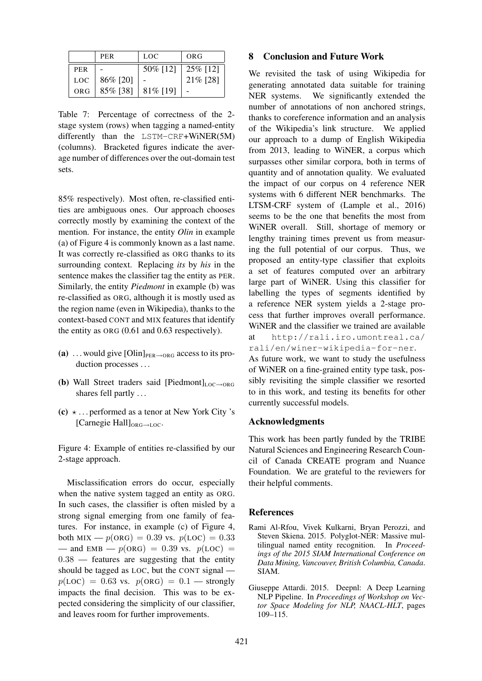|            | <b>PER</b> | LOC.        | ORG      |
|------------|------------|-------------|----------|
| <b>PER</b> |            | 50% [12]    | 25% [12] |
| LOC        | 86% [20]   |             | 21% [28] |
| ORG        | 85% [38]   | $81\%$ [19] |          |

Table 7: Percentage of correctness of the 2 stage system (rows) when tagging a named-entity differently than the LSTM-CRF+WiNER(5M) (columns). Bracketed figures indicate the average number of differences over the out-domain test sets.

85% respectively). Most often, re-classified entities are ambiguous ones. Our approach chooses correctly mostly by examining the context of the mention. For instance, the entity *Olin* in example (a) of Figure 4 is commonly known as a last name. It was correctly re-classified as ORG thanks to its surrounding context. Replacing *its* by *his* in the sentence makes the classifier tag the entity as PER. Similarly, the entity *Piedmont* in example (b) was re-classified as ORG, although it is mostly used as the region name (even in Wikipedia), thanks to the context-based CONT and MIX features that identify the entity as ORG (0.61 and 0.63 respectively).

- (a) ... would give [Olin] $_{PER\rightarrow ORG}$  access to its production processes ...
- (b) Wall Street traders said  $[Piedmont]_{LOC\rightarrow ORG}$ shares fell partly ...
- (c)  $\star$  ... performed as a tenor at New York City 's [Carnegie Hall]<sub>ORG→LOC</sub>.

Figure 4: Example of entities re-classified by our 2-stage approach.

Misclassification errors do occur, especially when the native system tagged an entity as ORG. In such cases, the classifier is often misled by a strong signal emerging from one family of features. For instance, in example (c) of Figure 4, both MIX —  $p(ORG) = 0.39$  vs.  $p(LOC) = 0.33$ — and EMB —  $p(ORG) = 0.39$  vs.  $p(LOC) =$ 0.38 — features are suggesting that the entity should be tagged as LOC, but the CONT signal  $p(\text{LOC}) = 0.63$  vs.  $p(\text{ORG}) = 0.1$  - strongly impacts the final decision. This was to be expected considering the simplicity of our classifier, and leaves room for further improvements.

### 8 Conclusion and Future Work

We revisited the task of using Wikipedia for generating annotated data suitable for training NER systems. We significantly extended the number of annotations of non anchored strings, thanks to coreference information and an analysis of the Wikipedia's link structure. We applied our approach to a dump of English Wikipedia from 2013, leading to WiNER, a corpus which surpasses other similar corpora, both in terms of quantity and of annotation quality. We evaluated the impact of our corpus on 4 reference NER systems with 6 different NER benchmarks. The LTSM-CRF system of (Lample et al., 2016) seems to be the one that benefits the most from WiNER overall. Still, shortage of memory or lengthy training times prevent us from measuring the full potential of our corpus. Thus, we proposed an entity-type classifier that exploits a set of features computed over an arbitrary large part of WiNER. Using this classifier for labelling the types of segments identified by a reference NER system yields a 2-stage process that further improves overall performance. WiNER and the classifier we trained are available at http://rali.iro.umontreal.ca/ rali/en/winer-wikipedia-for-ner. As future work, we want to study the usefulness

of WiNER on a fine-grained entity type task, possibly revisiting the simple classifier we resorted to in this work, and testing its benefits for other currently successful models.

### Acknowledgments

This work has been partly funded by the TRIBE Natural Sciences and Engineering Research Council of Canada CREATE program and Nuance Foundation. We are grateful to the reviewers for their helpful comments.

#### **References**

- Rami Al-Rfou, Vivek Kulkarni, Bryan Perozzi, and Steven Skiena. 2015. Polyglot-NER: Massive multilingual named entity recognition. In *Proceedings of the 2015 SIAM International Conference on Data Mining, Vancouver, British Columbia, Canada*. SIAM.
- Giuseppe Attardi. 2015. Deepnl: A Deep Learning NLP Pipeline. In *Proceedings of Workshop on Vector Space Modeling for NLP, NAACL-HLT*, pages 109–115.